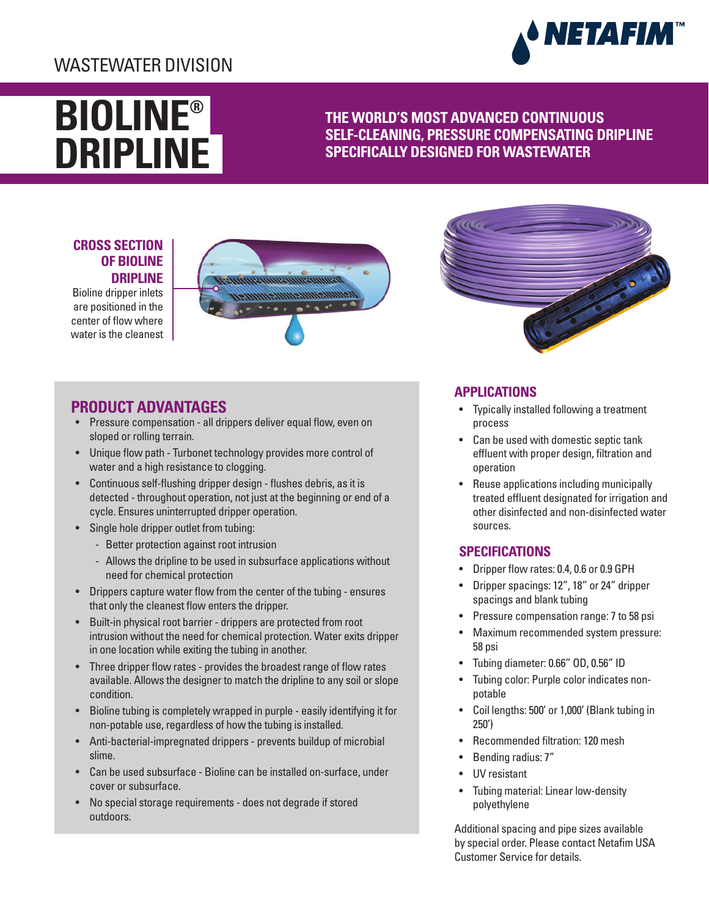# WASTEWATER DIVISION



# **BIOLINE® DRIPLINE**

**THE WORLD'S MOST ADVANCED CONTINUOUS SELF-CLEANING, PRESSURE COMPENSATING DRIPLINE SPECIFICALLY DESIGNED FOR WASTEWATER**

## **CROSS SECTION OF BIOLINE DRIPLINE**

Bioline dripper inlets are positioned in the center of flow where water is the cleanest





# **PRODUCT ADVANTAGES**

- Pressure compensation all drippers deliver equal flow, even on sloped or rolling terrain.
- Unique flow path Turbonet technology provides more control of water and a high resistance to clogging.
- Continuous self-flushing dripper design flushes debris, as it is detected - throughout operation, not just at the beginning or end of a cycle. Ensures uninterrupted dripper operation.
- Single hole dripper outlet from tubing:
	- Better protection against root intrusion
	- Allows the dripline to be used in subsurface applications without need for chemical protection
- Drippers capture water flow from the center of the tubing ensures that only the cleanest flow enters the dripper.
- Built-in physical root barrier drippers are protected from root intrusion without the need for chemical protection. Water exits dripper in one location while exiting the tubing in another.
- Three dripper flow rates provides the broadest range of flow rates available. Allows the designer to match the dripline to any soil or slope condition.
- Bioline tubing is completely wrapped in purple easily identifying it for non-potable use, regardless of how the tubing is installed.
- Anti-bacterial-impregnated drippers prevents buildup of microbial slime.
- Can be used subsurface Bioline can be installed on-surface, under cover or subsurface.
- No special storage requirements does not degrade if stored outdoors.

## **APPLICATIONS**

- Typically installed following a treatment process
- Can be used with domestic septic tank effluent with proper design, filtration and operation
- Reuse applications including municipally treated effluent designated for irrigation and other disinfected and non-disinfected water sources.

## **SPECIFICATIONS**

- Dripper flow rates: 0.4, 0.6 or 0.9 GPH
- Dripper spacings: 12", 18" or 24" dripper spacings and blank tubing
- Pressure compensation range: 7 to 58 psi
- Maximum recommended system pressure: 58 psi
- Tubing diameter: 0.66" OD, 0.56" ID
- Tubing color: Purple color indicates nonpotable
- Coil lengths: 500' or 1,000' (Blank tubing in 250')
- Recommended filtration: 120 mesh
- Bending radius: 7"
- UV resistant
- Tubing material: Linear low-density polyethylene

Additional spacing and pipe sizes available by special order. Please contact Netafim USA Customer Service for details.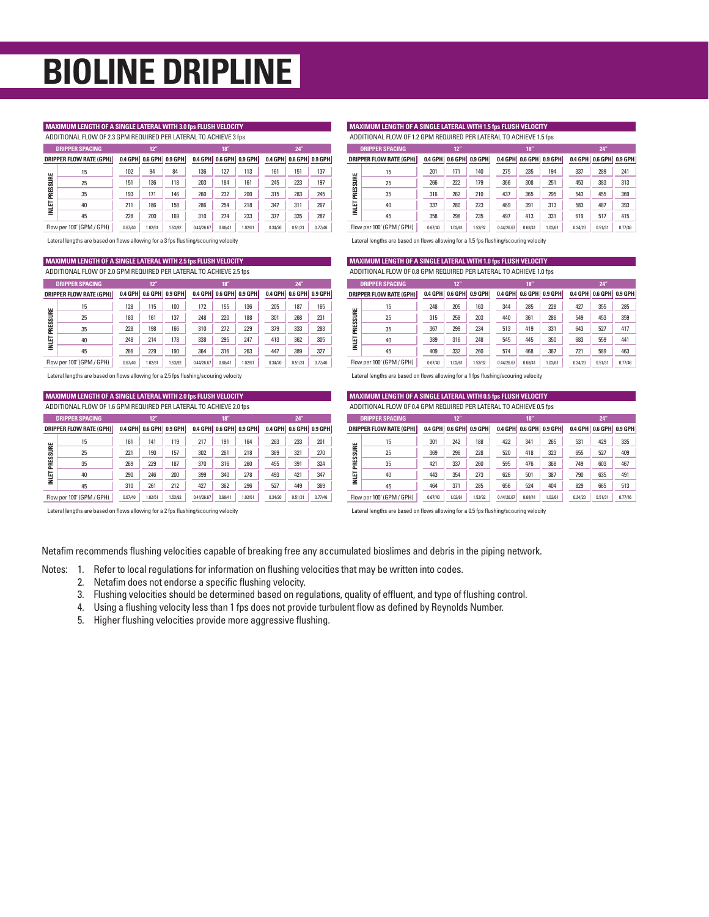# **BIOLINE DRIPLINE**

## **MAXIMUM LENGTH OF A SINGLE LATERAL WITH 3.0 fps FLUSH VELOCITY**

ADDITIONAL FLOW OF 2.3 GPM REQUIRED PER LATERAL TO ACHIEVE 3 fps

| <b>DRIPPER SPACING</b>         |         | 12"     |                         |            | 18'     |                         |         | 24'                     |         |  |  |
|--------------------------------|---------|---------|-------------------------|------------|---------|-------------------------|---------|-------------------------|---------|--|--|
| <b>DRIPPER FLOW RATE (GPH)</b> |         |         | 0.4 GPH 0.6 GPH 0.9 GPH |            |         | 0.4 GPH 0.6 GPH 0.9 GPH |         | 0.4 GPH 0.6 GPH 0.9 GPH |         |  |  |
| 15                             | 102     | 94      | 84                      | 136        | 127     | 113                     | 161     | 151                     | 137     |  |  |
| 25                             | 151     | 136     | 118                     | 203        | 184     | 161                     | 245     | 223                     | 197     |  |  |
| PRESSURE<br>35                 | 193     | 171     | 146                     | 260        | 232     | 200                     | 315     | 283                     | 245     |  |  |
| INIET<br>40                    | 211     | 186     | 158                     | 286        | 254     | 218                     | 347     | 311                     | 267     |  |  |
| 45                             | 228     | 200     | 169                     | 310        | 274     | 233                     | 377     | 335                     | 287     |  |  |
| Flow per 100' (GPM / GPH)      | 0.67/40 | 1.02/61 | 1.53/92                 | 0.44/26.67 | 0.68/41 | 1.02/61                 | 0.34/20 | 0.51/31                 | 0.77/46 |  |  |

Lateral lengths are based on flows allowing for a 3 fps flushing/scouring velocity

## **MAXIMUM LENGTH OF A SINGLE LATERAL WITH 2.5 fps FLUSH VELOCITY**

ADDITIONAL FLOW OF 2.0 GPM REQUIRED PER LATERAL TO ACHIEVE 2.5 fps

|          | <b>DRIPPER SPACING</b>         |         | 12"     |                         |            | 18"     |                         |         | 24"                     |         |
|----------|--------------------------------|---------|---------|-------------------------|------------|---------|-------------------------|---------|-------------------------|---------|
|          | <b>DRIPPER FLOW RATE (GPH)</b> |         |         | 0.4 GPH 0.6 GPH 0.9 GPH |            |         | 0.4 GPH 0.6 GPH 0.9 GPH |         | 0.4 GPH 0.6 GPH 0.9 GPH |         |
|          | 15                             | 128     | 115     | 100                     | 172        | 155     | 136                     | 205     | 187                     | 165     |
|          | 25                             | 183     | 161     | 137                     | 248        | 220     | 188                     | 301     | 268                     | 231     |
| PRESSURE | 35                             | 228     | 198     | 166                     | 310        | 272     | 229                     | 379     | 333                     | 283     |
| MIET     | 40                             | 248     | 214     | 178                     | 338        | 295     | 247                     | 413     | 362                     | 305     |
|          | 45                             | 266     | 229     | 190                     | 364        | 316     | 263                     | 447     | 389                     | 327     |
|          | Flow per 100' (GPM / GPH)      | 0.67/40 | 1.02/61 | 1.53/92                 | 0.44/26.67 | 0.68/41 | 1.02/61                 | 0.34/20 | 0.51/31                 | 0.77/46 |

Lateral lengths are based on flows allowing for a 2.5 fps flushing/scouring velocity

**MAXIMUM LENGTH OF A SINGLE LATERAL WITH 2.0 fps FLUSH VELOCITY**

| ADDITIONAL FLOW OF 1.6 GPM REQUIRED PER LATERAL TO ACHIEVE 2.0 fps |                                |         |         |                                           |            |         |                         |         |                         |         |  |
|--------------------------------------------------------------------|--------------------------------|---------|---------|-------------------------------------------|------------|---------|-------------------------|---------|-------------------------|---------|--|
|                                                                    | <b>DRIPPER SPACING</b>         |         | 12"     |                                           |            | 18"     |                         |         | $24$ "                  |         |  |
|                                                                    | <b>DRIPPER FLOW RATE (GPH)</b> |         |         | $0.4$ GPH $\vert$ 0.6 GPH $\vert$ 0.9 GPH |            |         | 0.4 GPH 0.6 GPH 0.9 GPH |         | 0.4 GPH 0.6 GPH 0.9 GPH |         |  |
|                                                                    | 15                             | 161     | 141     | 119                                       | 217        | 191     | 164                     | 263     | 233                     | 201     |  |
|                                                                    | 25                             | 221     | 190     | 157                                       | 302        | 261     | 218                     | 369     | 321                     | 270     |  |
| PRESSURE                                                           | 35                             | 269     | 229     | 187                                       | 370        | 316     | 260                     | 455     | 391                     | 324     |  |
| <b>INIET</b>                                                       | 40                             | 290     | 246     | 200                                       | 399        | 340     | 278                     | 493     | 421                     | 347     |  |
|                                                                    | 45                             | 310     | 261     | 212                                       | 427        | 362     | 296                     | 527     | 449                     | 369     |  |
|                                                                    | Flow per 100' (GPM / GPH)      | 0.67/40 | 1.02/61 | 1.53/92                                   | 0.44/26.67 | 0.68/41 | 1.02/61                 | 0.34/20 | 0.51/31                 | 0.77/46 |  |

Lateral lengths are based on flows allowing for a 2 fps flushing/scouring velocity

#### **MAXIMUM LENGTH OF A SINGLE LATERAL WITH 1.5 fps FLUSH VELOCITY** ADDITIONAL FLOW OF 1.2 GPM REQUIRED PER LATERAL TO ACHIEVE 1.5 fps

 **0.4 GPH 0.6 GPH 0.9 GPH 0.4 GPH 0.6 GPH 0.9 GPH 0.4 GPH 0.6 GPH 0.9 GPH DRIPPER FLOW RATE (GPH)** 171 140 275 235 194 262 210 280 223 469 391 313 296 235 497 413 331 0.67<br>
0.67/40<br>
1.67/40<br>
1.67/40<br>
1.02/61<br>
1.02/61<br>
1.02/61<br>
1.02/61<br>
1.02/61<br>
1.02/61<br>
1.02/61<br>
1.02/61<br>
1.02/61<br>
1.02/61<br>
1.02/61<br>
1.02/61<br>
1.02/61<br>
1.02/61<br>
1.02/61<br>
1.02/61<br>
1.02/61<br>
1.02/61<br>
1.02/61<br>
1.02/61<br>
1.02/61<br>  $-437$  517 415 0.34/20  $0.51/31$  0.77/46 **DRIPPER SPACING 12" 18" 24"** 

Lateral lengths are based on flows allowing for a 1.5 fps flushing/scouring velocity

#### **MAXIMUM LENGTH OF A SINGLE LATERAL WITH 1.0 fps FLUSH VELOCITY** ADDITIONAL FLOW OF 0.8 GPM REQUIRED PER LATERAL TO ACHIEVE 1.0 fps

| <b>DRIPPER SPACING</b> |                                |         | 12"     |                         |            | 18 <sup>th</sup> |                         |         | 24"                     |         |  |
|------------------------|--------------------------------|---------|---------|-------------------------|------------|------------------|-------------------------|---------|-------------------------|---------|--|
|                        | <b>DRIPPER FLOW RATE (GPH)</b> |         |         | 0.4 GPH 0.6 GPH 0.9 GPH |            |                  | 0.4 GPH 0.6 GPH 0.9 GPH |         | 0.4 GPH 0.6 GPH 0.9 GPH |         |  |
|                        | 15                             | 248     | 205     | 163                     | 344        | 285              | 228                     | 427     | 355                     | 285     |  |
| PRESSURE               | 25                             | 315     | 258     | 203                     | 440        | 361              | 286                     | 549     | 453                     | 359     |  |
|                        | 35                             | 367     | 299     | 234                     | 513        | 419              | 331                     | 643     | 527                     | 417     |  |
| INIET                  | 40                             | 389     | 316     | 248                     | 545        | 445              | 350                     | 683     | 559                     | 441     |  |
|                        | 45                             | 409     | 332     | 260                     | 574        | 468              | 367                     | 721     | 589                     | 463     |  |
|                        | Flow per 100' (GPM / GPH)      | 0.67/40 | 1.02/61 | 1.53/92                 | 0.44/26.67 | 0.68/41          | 1.02/61                 | 0.34/20 | 0.51/31                 | 0.77/46 |  |

Lateral lengths are based on flows allowing for a 1 fps flushing/scouring velocity

#### **0.4 GPH 0.6 GPH 0.9 GPH 0.4 GPH 0.6 GPH 0.9 GPH 0.4 GPH DRIPPER SPACING 12" 18" 24" MAXIMUM LENGTH OF A SINGLE LATERAL WITH 0.5 fps FLUSH VELOCITY DRIPPER FLOW RATE (GPH)** ADDITIONAL FLOW OF 0.4 GPM REQUIRED PER LATERAL TO ACHIEVE 0.5 fps

|                           | <b>DRIPPER FLOW RATE (GPH)</b> |         |         | 0.4 GPH 0.6 GPH 0.9 GPH |            |         | 0.4 GPH 0.6 GPH 0.9 GPH |         |         | 0.4 GPH 0.6 GPH 0.9 GPH |  |
|---------------------------|--------------------------------|---------|---------|-------------------------|------------|---------|-------------------------|---------|---------|-------------------------|--|
|                           | 15                             | 301     | 242     | 188                     | 422        | 341     | 265                     | 531     | 429     | 335                     |  |
| PRESSURE                  | 25                             | 369     | 296     | 228                     | 520        | 418     | 323                     | 655     | 527     | 409                     |  |
|                           | 35                             | 421     | 337     | 260                     | 595        | 476     | 368                     | 749     | 603     | 467                     |  |
| INIET                     | 40                             | 443     | 354     | 273                     | 626        | 501     | 387                     | 790     | 635     | 491                     |  |
|                           | 45                             | 464     | 371     | 285                     | 656        | 524     | 404                     | 829     | 665     | 513                     |  |
| Flow per 100' (GPM / GPH) |                                | 0.67/40 | 1.02/61 | 1.53/92                 | 0.44/26.67 | 0.68/41 | 1.02/61                 | 0.34/20 | 0.51/31 | 0.77/46                 |  |

Lateral lengths are based on flows allowing for a 0.5 fps flushing/scouring velocity

Netafim recommends flushing velocities capable of breaking free any accumulated bioslimes and debris in the piping network.

- Notes: 1. Refer to local regulations for information on flushing velocities that may be written into codes.
	- 2. Netafim does not endorse a specific flushing velocity.
	- 3. Flushing velocities should be determined based on regulations, quality of effluent, and type of flushing control.
	- 4. Using a flushing velocity less than 1 fps does not provide turbulent flow as defined by Reynolds Number.
	- 5. Higher flushing velocities provide more aggressive flushing.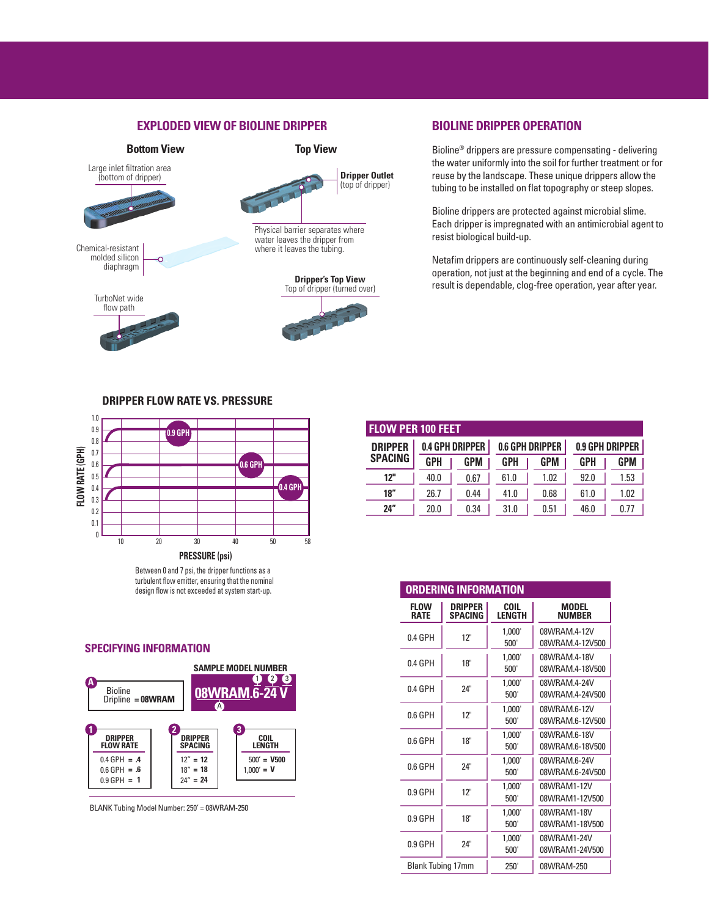## **EXPLODED VIEW OF BIOLINE DRIPPER**



## **BIOLINE DRIPPER OPERATION**

Bioline® drippers are pressure compensating - delivering the water uniformly into the soil for further treatment or for reuse by the landscape. These unique drippers allow the tubing to be installed on flat topography or steep slopes.

Bioline drippers are protected against microbial slime. Each dripper is impregnated with an antimicrobial agent to resist biological build-up.

Netafim drippers are continuously self-cleaning during operation, not just at the beginning and end of a cycle. The result is dependable, clog-free operation, year after year.

### **DRIPPER FLOW RATE VS. PRESSURE**



Between 0 and 7 psi, the dripper functions as a turbulent flow emitter, ensuring that the nominal design flow is not exceeded at system start-up.

### **SPECIFYING INFORMATION**



BLANK Tubing Model Number: 250' = 08WRAM-250

| <b>FLOW PER 100 FEET</b> |            |                        |      |                        |                 |      |  |
|--------------------------|------------|------------------------|------|------------------------|-----------------|------|--|
| <b>DRIPPER</b>           |            | <b>0.4 GPH DRIPPER</b> |      | <b>0.6 GPH DRIPPER</b> | 0.9 GPH DRIPPER |      |  |
| <b>SPACING</b>           | <b>GPH</b> | <b>GPM</b>             | GPH  | <b>GPM</b>             | GPH             | GPM  |  |
| 12"                      | 40.0       | 0.67                   | 61.0 | 1.02                   | 92.0            | 1.53 |  |
| 18"                      | 26.7       | 0.44                   | 41.0 | 0.68                   | 61.0            | 1.02 |  |
| 24"                      | 20.0       | 0.34                   | 31.0 | 0.51                   | 46.0            | 0.77 |  |

| <b>ORDERING INFORMATION</b> |                                  |                       |                                 |  |  |  |  |  |
|-----------------------------|----------------------------------|-----------------------|---------------------------------|--|--|--|--|--|
| <b>FLOW</b><br><b>RATE</b>  | <b>DRIPPER</b><br><b>SPACING</b> | COIL<br><b>LENGTH</b> | <b>MODEL</b><br><b>NUMBER</b>   |  |  |  |  |  |
| 0.4 GPH                     | 12"                              | 1.000'<br>500'        | 08WRAM 4-12V<br>08WRAM.4-12V500 |  |  |  |  |  |
| $0.4$ GPH                   | 18"                              | 1.000'<br>500'        | 08WRAM.4-18V<br>08WRAM 4-18V500 |  |  |  |  |  |
| $0.4$ GPH                   | 24"                              | 1,000<br>500'         | 08WRAM 4-24V<br>08WRAM.4-24V500 |  |  |  |  |  |
| 0.6 GPH                     | 12"                              | 1,000<br>500'         | 08WRAM.6-12V<br>08WRAM.6-12V500 |  |  |  |  |  |
| $0.6$ GPH                   | 18"                              | 1,000<br>500'         | 08WRAM 6-18V<br>08WRAM.6-18V500 |  |  |  |  |  |
| 0.6 GPH                     | 24"                              | 1.000'<br>500'        | 08WRAM.6-24V<br>08WRAM.6-24V500 |  |  |  |  |  |
| 0.9 GPH                     | 12"                              | 1,000<br>500'         | 08WRAM1-12V<br>08WRAM1-12V500   |  |  |  |  |  |
| 0.9 GPH                     | 18"                              | 1.000'<br>500'        | 08WRAM1-18V<br>08WRAM1-18V500   |  |  |  |  |  |
| $0.9$ GPH                   | 24"                              | 1,000<br>500'         | 08WRAM1-24V<br>08WRAM1-24V500   |  |  |  |  |  |
| <b>Blank Tubing 17mm</b>    |                                  | 250'                  | 08WRAM-250                      |  |  |  |  |  |